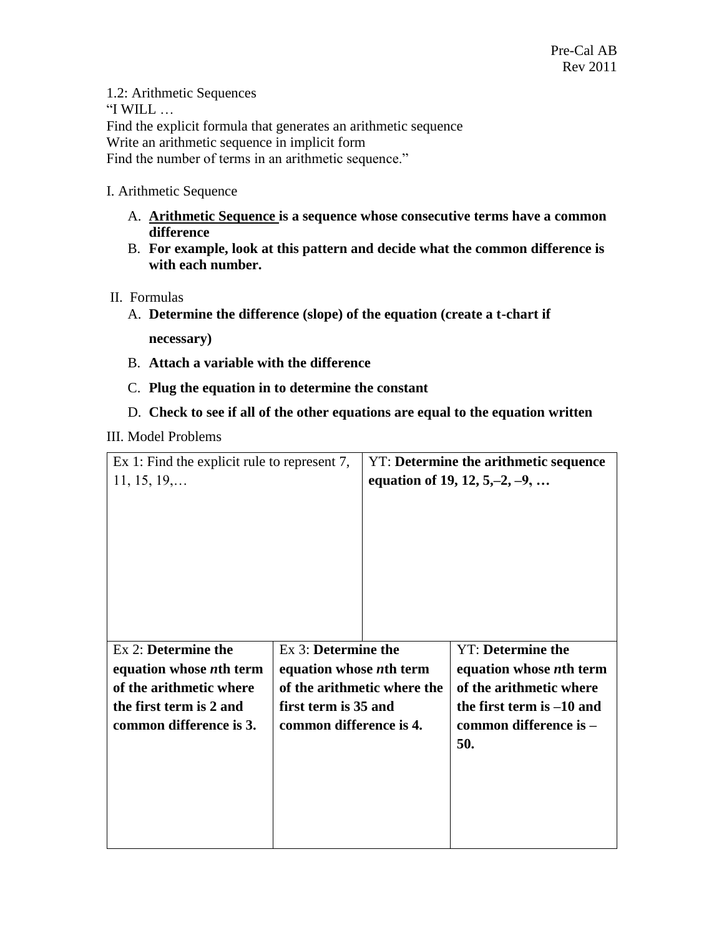1.2: Arithmetic Sequences "I WILL  $\ldots$ Find the explicit formula that generates an arithmetic sequence Write an arithmetic sequence in implicit form Find the number of terms in an arithmetic sequence."

## I. Arithmetic Sequence

- A. **Arithmetic Sequence is a sequence whose consecutive terms have a common difference**
- B. **For example, look at this pattern and decide what the common difference is with each number.**
- II. Formulas
	- A. **Determine the difference (slope) of the equation (create a t-chart if**

**necessary)**

- B. **Attach a variable with the difference**
- C. **Plug the equation in to determine the constant**
- D. **Check to see if all of the other equations are equal to the equation written**

## III. Model Problems

| Ex 1: Find the explicit rule to represent 7, |                                 | YT: Determine the arithmetic sequence |                                 |
|----------------------------------------------|---------------------------------|---------------------------------------|---------------------------------|
| $11, 15, 19, \ldots$                         |                                 | equation of 19, 12, 5, -2, -9,        |                                 |
|                                              |                                 |                                       |                                 |
|                                              |                                 |                                       |                                 |
|                                              |                                 |                                       |                                 |
|                                              |                                 |                                       |                                 |
|                                              |                                 |                                       |                                 |
|                                              |                                 |                                       |                                 |
|                                              |                                 |                                       |                                 |
|                                              |                                 |                                       |                                 |
| Ex 2: Determine the                          | Ex 3: Determine the             |                                       | <b>YT: Determine the</b>        |
| equation whose <i>n</i> th term              | equation whose <i>n</i> th term |                                       | equation whose <i>n</i> th term |
| of the arithmetic where                      | of the arithmetic where the     |                                       | of the arithmetic where         |
| the first term is 2 and                      | first term is 35 and            |                                       | the first term is $-10$ and     |
| common difference is 3.                      | common difference is 4.         |                                       | common difference is -          |
|                                              |                                 |                                       | 50.                             |
|                                              |                                 |                                       |                                 |
|                                              |                                 |                                       |                                 |
|                                              |                                 |                                       |                                 |
|                                              |                                 |                                       |                                 |
|                                              |                                 |                                       |                                 |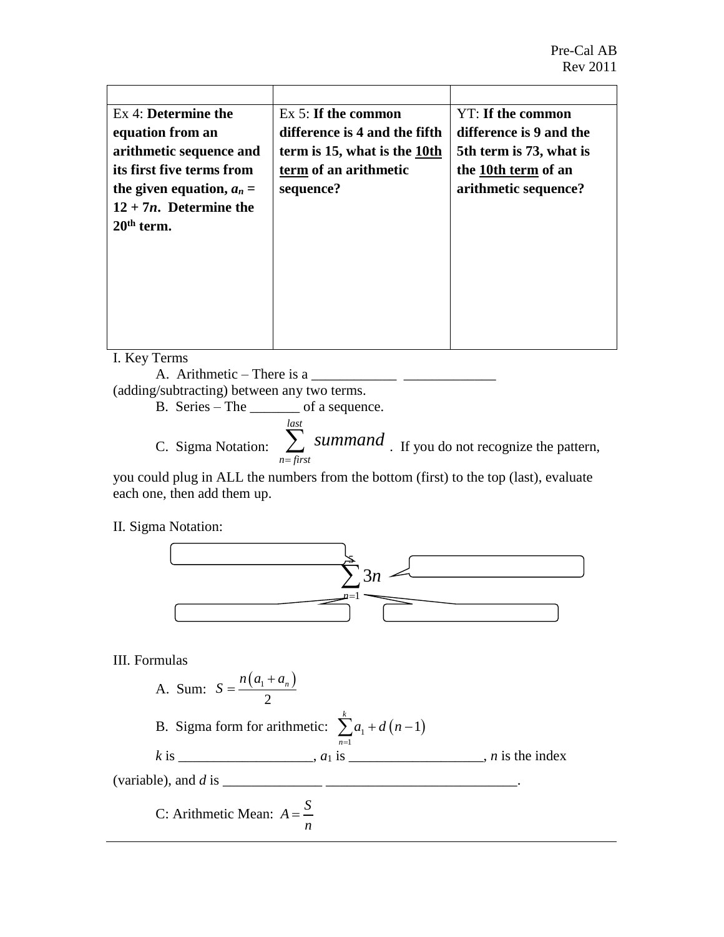| Ex 4: Determine the         | $Ex 5$ : If the common        | YT: If the common       |
|-----------------------------|-------------------------------|-------------------------|
| equation from an            | difference is 4 and the fifth | difference is 9 and the |
| arithmetic sequence and     | term is 15, what is the 10th  | 5th term is 73, what is |
| its first five terms from   | term of an arithmetic         | the 10th term of an     |
| the given equation, $a_n =$ | sequence?                     | arithmetic sequence?    |
| $12 + 7n$ . Determine the   |                               |                         |
| $20th$ term.                |                               |                         |
|                             |                               |                         |
|                             |                               |                         |
|                             |                               |                         |
|                             |                               |                         |
|                             |                               |                         |
|                             |                               |                         |

I. Key Terms

A. Arithmetic – There is a  $\frac{1}{\sqrt{1-\frac{1}{2}}}\frac{1}{\sqrt{1-\frac{1}{2}}\sqrt{1-\frac{1}{2}}\sqrt{1-\frac{1}{2}}\sqrt{1-\frac{1}{2}}$ 

(adding/subtracting) between any two terms.

B. Series – The \_\_\_\_\_\_\_ of a sequence. C. Sigma Notation: *last n first*  $\sum$  summand  $\sum$ . If you do not recognize the pattern,

you could plug in ALL the numbers from the bottom (first) to the top (last), evaluate each one, then add them up.

II. Sigma Notation:



## III. Formulas

A. Sum: 
$$
S = \frac{n(a_1 + a_n)}{2}
$$

B. Sigma form for arithmetic:  $\sum a_1 + d(n-1)$ 1 1 *k n*  $a_1 + d(n)$  $\sum_{n=1}^{n} a_1 + d(n-1)$ 

 $k$  is \_\_\_\_\_\_\_\_\_\_\_\_\_\_\_\_,  $a_1$  is \_\_\_\_\_\_\_\_\_\_\_\_\_\_\_\_,  $n$  is the index

(variable), and *d* is \_\_\_\_\_\_\_\_\_\_\_\_\_\_ \_\_\_\_\_\_\_\_\_\_\_\_\_\_\_\_\_\_\_\_\_\_\_\_\_\_\_.

C: Arithmetic Mean: 
$$
A = \frac{S}{n}
$$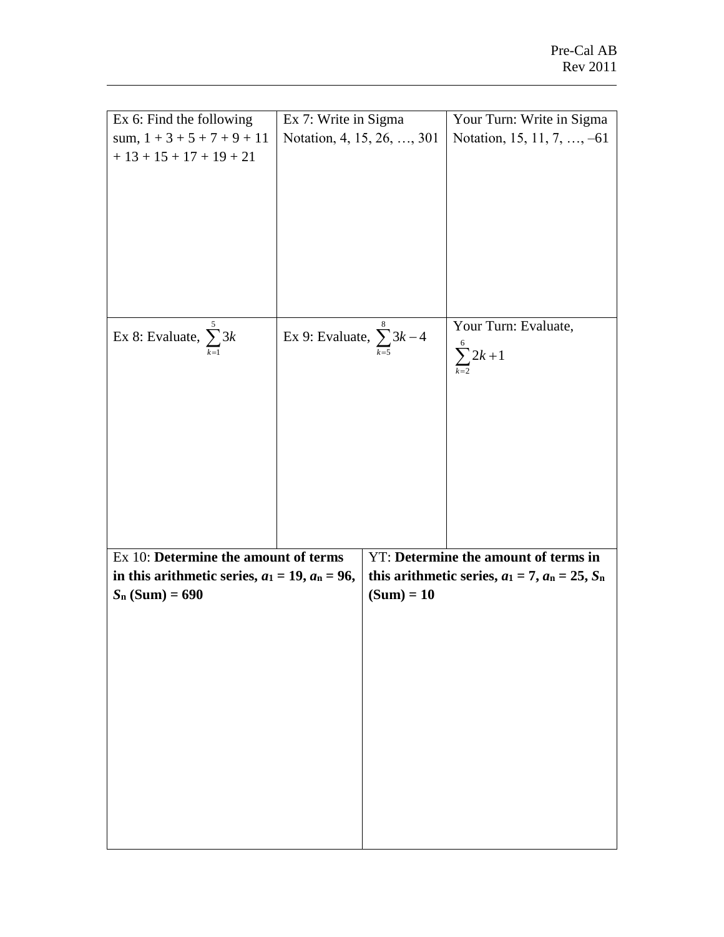| Ex 6: Find the following                             | Ex 7: Write in Sigma                    |                                                        | Your Turn: Write in Sigma            |  |
|------------------------------------------------------|-----------------------------------------|--------------------------------------------------------|--------------------------------------|--|
| sum, $1 + 3 + 5 + 7 + 9 + 11$                        | Notation, 4, 15, 26, , 301              |                                                        | Notation, 15, 11, 7, , -61           |  |
| $+13 + 15 + 17 + 19 + 21$                            |                                         |                                                        |                                      |  |
|                                                      |                                         |                                                        |                                      |  |
|                                                      |                                         |                                                        |                                      |  |
|                                                      |                                         |                                                        |                                      |  |
|                                                      |                                         |                                                        |                                      |  |
|                                                      |                                         |                                                        |                                      |  |
|                                                      |                                         |                                                        |                                      |  |
|                                                      |                                         |                                                        |                                      |  |
|                                                      |                                         |                                                        |                                      |  |
|                                                      |                                         |                                                        |                                      |  |
|                                                      |                                         |                                                        |                                      |  |
|                                                      |                                         |                                                        |                                      |  |
| Ex 8: Evaluate, $\sum_{n=1}^{\infty} 3k$             | Ex 9: Evaluate, $\sum_{k=5}^{8} 3k - 4$ |                                                        | Your Turn: Evaluate,                 |  |
|                                                      |                                         |                                                        | $\sum_{k=2}^{6} 2k + 1$              |  |
|                                                      |                                         |                                                        |                                      |  |
|                                                      |                                         |                                                        |                                      |  |
|                                                      |                                         |                                                        |                                      |  |
|                                                      |                                         |                                                        |                                      |  |
|                                                      |                                         |                                                        |                                      |  |
|                                                      |                                         |                                                        |                                      |  |
|                                                      |                                         |                                                        |                                      |  |
|                                                      |                                         |                                                        |                                      |  |
|                                                      |                                         |                                                        |                                      |  |
|                                                      |                                         |                                                        |                                      |  |
|                                                      |                                         |                                                        |                                      |  |
|                                                      |                                         |                                                        |                                      |  |
|                                                      |                                         |                                                        |                                      |  |
| Ex 10: Determine the amount of terms                 |                                         |                                                        | YT: Determine the amount of terms in |  |
| in this arithmetic series, $a_1 = 19$ , $a_n = 96$ , |                                         | this arithmetic series, $a_1 = 7$ , $a_n = 25$ , $S_n$ |                                      |  |
| $S_n$ (Sum) = 690                                    |                                         | $(Sum) = 10$                                           |                                      |  |
|                                                      |                                         |                                                        |                                      |  |
|                                                      |                                         |                                                        |                                      |  |
|                                                      |                                         |                                                        |                                      |  |
|                                                      |                                         |                                                        |                                      |  |
|                                                      |                                         |                                                        |                                      |  |
|                                                      |                                         |                                                        |                                      |  |
|                                                      |                                         |                                                        |                                      |  |
|                                                      |                                         |                                                        |                                      |  |
|                                                      |                                         |                                                        |                                      |  |
|                                                      |                                         |                                                        |                                      |  |
|                                                      |                                         |                                                        |                                      |  |
|                                                      |                                         |                                                        |                                      |  |
|                                                      |                                         |                                                        |                                      |  |
|                                                      |                                         |                                                        |                                      |  |
|                                                      |                                         |                                                        |                                      |  |
|                                                      |                                         |                                                        |                                      |  |